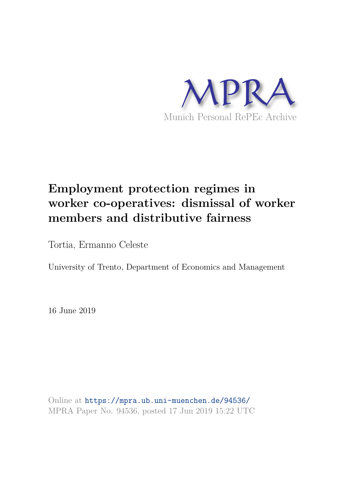

## **Employment protection regimes in worker co-operatives: dismissal of worker members and distributive fairness**

Tortia, Ermanno Celeste

University of Trento, Department of Economics and Management

16 June 2019

Online at https://mpra.ub.uni-muenchen.de/94536/ MPRA Paper No. 94536, posted 17 Jun 2019 15:22 UTC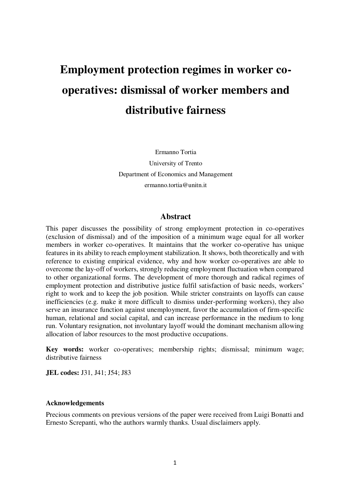# **Employment protection regimes in worker cooperatives: dismissal of worker members and distributive fairness**

Ermanno Tortia University of Trento Department of Economics and Management ermanno.tortia@unitn.it

#### **Abstract**

This paper discusses the possibility of strong employment protection in co-operatives (exclusion of dismissal) and of the imposition of a minimum wage equal for all worker members in worker co-operatives. It maintains that the worker co-operative has unique features in its ability to reach employment stabilization. It shows, both theoretically and with reference to existing empirical evidence, why and how worker co-operatives are able to overcome the lay-off of workers, strongly reducing employment fluctuation when compared to other organizational forms. The development of more thorough and radical regimes of employment protection and distributive justice fulfil satisfaction of basic needs, workers' right to work and to keep the job position. While stricter constraints on layoffs can cause inefficiencies (e.g. make it more difficult to dismiss under-performing workers), they also serve an insurance function against unemployment, favor the accumulation of firm-specific human, relational and social capital, and can increase performance in the medium to long run. Voluntary resignation, not involuntary layoff would the dominant mechanism allowing allocation of labor resources to the most productive occupations.

**Key words:** worker co-operatives; membership rights; dismissal; minimum wage; distributive fairness

**JEL codes:** J31, J41; J54; J83

#### **Acknowledgements**

Precious comments on previous versions of the paper were received from Luigi Bonatti and Ernesto Screpanti, who the authors warmly thanks. Usual disclaimers apply.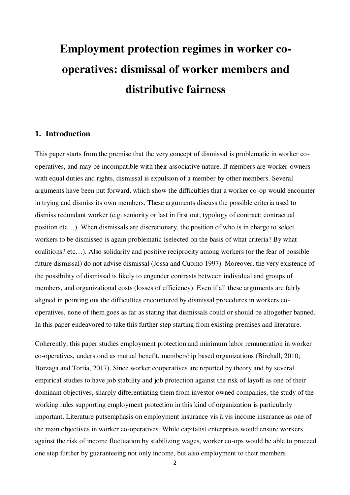# **Employment protection regimes in worker cooperatives: dismissal of worker members and distributive fairness**

#### **1. Introduction**

This paper starts from the premise that the very concept of dismissal is problematic in worker cooperatives, and may be incompatible with their associative nature. If members are worker-owners with equal duties and rights, dismissal is expulsion of a member by other members. Several arguments have been put forward, which show the difficulties that a worker co-op would encounter in trying and dismiss its own members. These arguments discuss the possible criteria used to dismiss redundant worker (e.g. seniority or last in first out; typology of contract; contractual position etc…). When dismissals are discretionary, the position of who is in charge to select workers to be dismissed is again problematic (selected on the basis of what criteria? By what coalitions? etc…). Also solidarity and positive reciprocity among workers (or the fear of possible future dismissal) do not advise dismissal (Jossa and Cuomo 1997). Moreover, the very existence of the possibility of dismissal is likely to engender contrasts between individual and groups of members, and organizational costs (losses of efficiency). Even if all these arguments are fairly aligned in pointing out the difficulties encountered by dismissal procedures in workers cooperatives, none of them goes as far as stating that dismissals could or should be altogether banned. In this paper endeavored to take this further step starting from existing premises and literature.

Coherently, this paper studies employment protection and minimum labor remuneration in worker co-operatives, understood as mutual benefit, membership based organizations (Birchall, 2010; Borzaga and Tortia, 2017). Since worker cooperatives are reported by theory and by several empirical studies to have job stability and job protection against the risk of layoff as one of their dominant objectives, sharply differentiating them from investor owned companies, the study of the working rules supporting employment protection in this kind of organization is particularly important. Literature putsemphasis on employment insurance vis à vis income insurance as one of the main objectives in worker co-operatives. While capitalist enterprises would ensure workers against the risk of income fluctuation by stabilizing wages, worker co-ops would be able to proceed one step further by guaranteeing not only income, but also employment to their members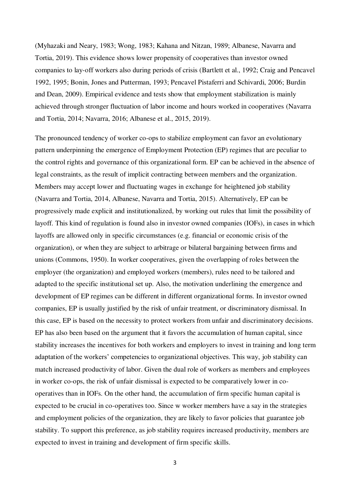(Myhazaki and Neary, 1983; Wong, 1983; Kahana and Nitzan, 1989; Albanese, Navarra and Tortia, 2019). This evidence shows lower propensity of cooperatives than investor owned companies to lay-off workers also during periods of crisis (Bartlett et al., 1992; Craig and Pencavel 1992, 1995; Bonin, Jones and Putterman, 1993; Pencavel Pistaferri and Schivardi, 2006; Burdin and Dean, 2009). Empirical evidence and tests show that employment stabilization is mainly achieved through stronger fluctuation of labor income and hours worked in cooperatives (Navarra and Tortia, 2014; Navarra, 2016; Albanese et al., 2015, 2019).

The pronounced tendency of worker co-ops to stabilize employment can favor an evolutionary pattern underpinning the emergence of Employment Protection (EP) regimes that are peculiar to the control rights and governance of this organizational form. EP can be achieved in the absence of legal constraints, as the result of implicit contracting between members and the organization. Members may accept lower and fluctuating wages in exchange for heightened job stability (Navarra and Tortia, 2014, Albanese, Navarra and Tortia, 2015). Alternatively, EP can be progressively made explicit and institutionalized, by working out rules that limit the possibility of layoff. This kind of regulation is found also in investor owned companies (IOFs), in cases in which layoffs are allowed only in specific circumstances (e.g. financial or economic crisis of the organization), or when they are subject to arbitrage or bilateral bargaining between firms and unions (Commons, 1950). In worker cooperatives, given the overlapping of roles between the employer (the organization) and employed workers (members), rules need to be tailored and adapted to the specific institutional set up. Also, the motivation underlining the emergence and development of EP regimes can be different in different organizational forms. In investor owned companies, EP is usually justified by the risk of unfair treatment, or discriminatory dismissal. In this case, EP is based on the necessity to protect workers from unfair and discriminatory decisions. EP has also been based on the argument that it favors the accumulation of human capital, since stability increases the incentives for both workers and employers to invest in training and long term adaptation of the workers' competencies to organizational objectives. This way, job stability can match increased productivity of labor. Given the dual role of workers as members and employees in worker co-ops, the risk of unfair dismissal is expected to be comparatively lower in cooperatives than in IOFs. On the other hand, the accumulation of firm specific human capital is expected to be crucial in co-operatives too. Since w worker members have a say in the strategies and employment policies of the organization, they are likely to favor policies that guarantee job stability. To support this preference, as job stability requires increased productivity, members are expected to invest in training and development of firm specific skills.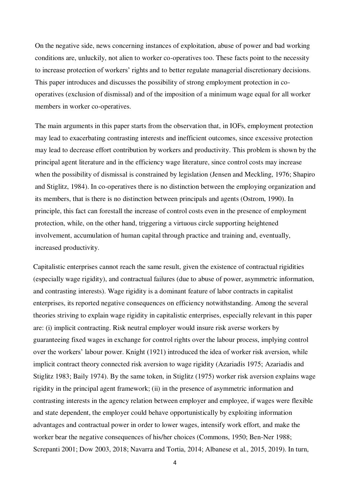On the negative side, news concerning instances of exploitation, abuse of power and bad working conditions are, unluckily, not alien to worker co-operatives too. These facts point to the necessity to increase protection of workers' rights and to better regulate managerial discretionary decisions. This paper introduces and discusses the possibility of strong employment protection in cooperatives (exclusion of dismissal) and of the imposition of a minimum wage equal for all worker members in worker co-operatives.

The main arguments in this paper starts from the observation that, in IOFs, employment protection may lead to exacerbating contrasting interests and inefficient outcomes, since excessive protection may lead to decrease effort contribution by workers and productivity. This problem is shown by the principal agent literature and in the efficiency wage literature, since control costs may increase when the possibility of dismissal is constrained by legislation (Jensen and Meckling, 1976; Shapiro and Stiglitz, 1984). In co-operatives there is no distinction between the employing organization and its members, that is there is no distinction between principals and agents (Ostrom, 1990). In principle, this fact can forestall the increase of control costs even in the presence of employment protection, while, on the other hand, triggering a virtuous circle supporting heightened involvement, accumulation of human capital through practice and training and, eventually, increased productivity.

Capitalistic enterprises cannot reach the same result, given the existence of contractual rigidities (especially wage rigidity), and contractual failures (due to abuse of power, asymmetric information, and contrasting interests). Wage rigidity is a dominant feature of labor contracts in capitalist enterprises, its reported negative consequences on efficiency notwithstanding. Among the several theories striving to explain wage rigidity in capitalistic enterprises, especially relevant in this paper are: (i) implicit contracting. Risk neutral employer would insure risk averse workers by guaranteeing fixed wages in exchange for control rights over the labour process, implying control over the workers' labour power. Knight (1921) introduced the idea of worker risk aversion, while implicit contract theory connected risk aversion to wage rigidity (Azariadis 1975; Azariadis and Stiglitz 1983; Baily 1974). By the same token, in Stiglitz (1975) worker risk aversion explains wage rigidity in the principal agent framework; (ii) in the presence of asymmetric information and contrasting interests in the agency relation between employer and employee, if wages were flexible and state dependent, the employer could behave opportunistically by exploiting information advantages and contractual power in order to lower wages, intensify work effort, and make the worker bear the negative consequences of his/her choices (Commons, 1950; Ben-Ner 1988; Screpanti 2001; Dow 2003, 2018; Navarra and Tortia, 2014; Albanese et al., 2015, 2019). In turn,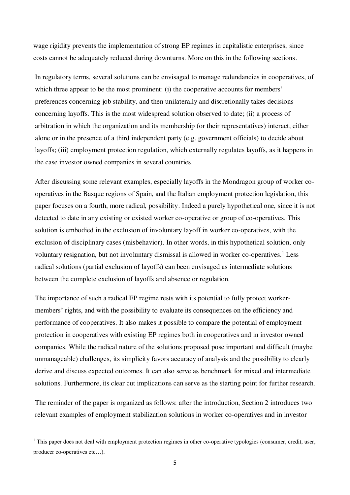wage rigidity prevents the implementation of strong EP regimes in capitalistic enterprises, since costs cannot be adequately reduced during downturns. More on this in the following sections.

In regulatory terms, several solutions can be envisaged to manage redundancies in cooperatives, of which three appear to be the most prominent: (i) the cooperative accounts for members' preferences concerning job stability, and then unilaterally and discretionally takes decisions concerning layoffs. This is the most widespread solution observed to date; (ii) a process of arbitration in which the organization and its membership (or their representatives) interact, either alone or in the presence of a third independent party (e.g. government officials) to decide about layoffs; (iii) employment protection regulation, which externally regulates layoffs, as it happens in the case investor owned companies in several countries.

After discussing some relevant examples, especially layoffs in the Mondragon group of worker cooperatives in the Basque regions of Spain, and the Italian employment protection legislation, this paper focuses on a fourth, more radical, possibility. Indeed a purely hypothetical one, since it is not detected to date in any existing or existed worker co-operative or group of co-operatives. This solution is embodied in the exclusion of involuntary layoff in worker co-operatives, with the exclusion of disciplinary cases (misbehavior). In other words, in this hypothetical solution, only voluntary resignation, but not involuntary dismissal is allowed in worker co-operatives.<sup>1</sup> Less radical solutions (partial exclusion of layoffs) can been envisaged as intermediate solutions between the complete exclusion of layoffs and absence or regulation.

The importance of such a radical EP regime rests with its potential to fully protect workermembers' rights, and with the possibility to evaluate its consequences on the efficiency and performance of cooperatives. It also makes it possible to compare the potential of employment protection in cooperatives with existing EP regimes both in cooperatives and in investor owned companies. While the radical nature of the solutions proposed pose important and difficult (maybe unmanageable) challenges, its simplicity favors accuracy of analysis and the possibility to clearly derive and discuss expected outcomes. It can also serve as benchmark for mixed and intermediate solutions. Furthermore, its clear cut implications can serve as the starting point for further research.

The reminder of the paper is organized as follows: after the introduction, Section 2 introduces two relevant examples of employment stabilization solutions in worker co-operatives and in investor

<u>.</u>

<sup>&</sup>lt;sup>1</sup> This paper does not deal with employment protection regimes in other co-operative typologies (consumer, credit, user, producer co-operatives etc…).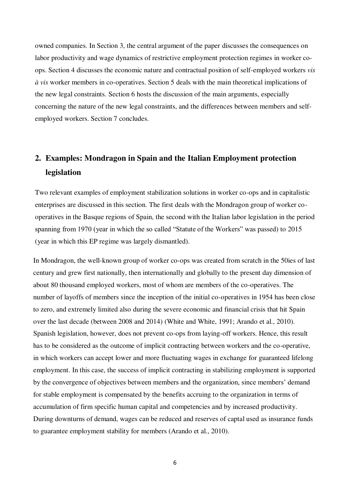owned companies. In Section 3, the central argument of the paper discusses the consequences on labor productivity and wage dynamics of restrictive employment protection regimes in worker coops. Section 4 discusses the economic nature and contractual position of self-employed workers *vis à vis* worker members in co-operatives. Section 5 deals with the main theoretical implications of the new legal constraints. Section 6 hosts the discussion of the main arguments, especially concerning the nature of the new legal constraints, and the differences between members and selfemployed workers. Section 7 concludes.

### **2. Examples: Mondragon in Spain and the Italian Employment protection legislation**

Two relevant examples of employment stabilization solutions in worker co-ops and in capitalistic enterprises are discussed in this section. The first deals with the Mondragon group of worker cooperatives in the Basque regions of Spain, the second with the Italian labor legislation in the period spanning from 1970 (year in which the so called "Statute of the Workers" was passed) to 2015 (year in which this EP regime was largely dismantled).

In Mondragon, the well-known group of worker co-ops was created from scratch in the 50ies of last century and grew first nationally, then internationally and globally to the present day dimension of about 80 thousand employed workers, most of whom are members of the co-operatives. The number of layoffs of members since the inception of the initial co-operatives in 1954 has been close to zero, and extremely limited also during the severe economic and financial crisis that hit Spain over the last decade (between 2008 and 2014) (White and White, 1991; Arando et al., 2010). Spanish legislation, however, does not prevent co-ops from laying-off workers. Hence, this result has to be considered as the outcome of implicit contracting between workers and the co-operative, in which workers can accept lower and more fluctuating wages in exchange for guaranteed lifelong employment. In this case, the success of implicit contracting in stabilizing employment is supported by the convergence of objectives between members and the organization, since members' demand for stable employment is compensated by the benefits accruing to the organization in terms of accumulation of firm specific human capital and competencies and by increased productivity. During downturns of demand, wages can be reduced and reserves of captal used as insurance funds to guarantee employment stability for members (Arando et al., 2010).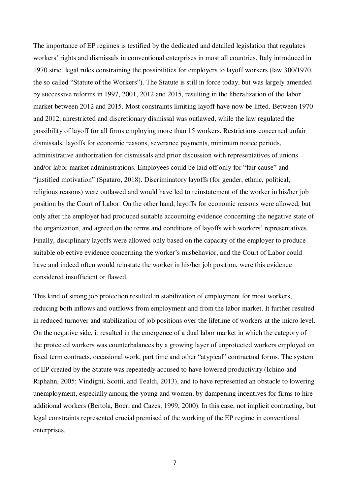The importance of EP regimes is testified by the dedicated and detailed legislation that regulates workers' rights and dismissals in conventional enterprises in most all countries. Italy introduced in 1970 strict legal rules constraining the possibilities for employers to layoff workers (law 300/1970, the so called "Statute of the Workers"). The Statute is still in force today, but was largely amended by successive reforms in 1997, 2001, 2012 and 2015, resulting in the liberalization of the labor market between 2012 and 2015. Most constraints limiting layoff have now be lifted. Between 1970 and 2012, unrestricted and discretionary dismissal was outlawed, while the law regulated the possibility of layoff for all firms employing more than 15 workers. Restrictions concerned unfair dismissals, layoffs for economic reasons, severance payments, minimum notice periods, administrative authorization for dismissals and prior discussion with representatives of unions and/or labor market administrations. Employees could be laid off only for "fair cause" and "justified motivation" (Spataro, 2018). Discriminatory layoffs (for gender, ethnic, political, religious reasons) were outlawed and would have led to reinstatement of the worker in his/her job position by the Court of Labor. On the other hand, layoffs for economic reasons were allowed, but only after the employer had produced suitable accounting evidence concerning the negative state of the organization, and agreed on the terms and conditions of layoffs with workers' representatives. Finally, disciplinary layoffs were allowed only based on the capacity of the employer to produce suitable objective evidence concerning the worker's misbehavior, and the Court of Labor could have and indeed often would reinstate the worker in his/her job position, were this evidence considered insufficient or flawed.

This kind of strong job protection resulted in stabilization of employment for most workers, reducing both inflows and outflows from employment and from the labor market. It further resulted in reduced turnover and stabilization of job positions over the lifetime of workers at the micro level. On the negative side, it resulted in the emergence of a dual labor market in which the category of the protected workers was counterbalances by a growing layer of unprotected workers employed on fixed term contracts, occasional work, part time and other "atypical" contractual forms. The system of EP created by the Statute was repeatedly accused to have lowered productivity (Ichino and Riphahn, 2005; Vindigni, Scotti, and Tealdi, 2013), and to have represented an obstacle to lowering unemployment, especially among the young and women, by dampening incentives for firms to hire additional workers (Bertola, Boeri and Cazes, 1999, 2000). In this case, not implicit contracting, but legal constraints represented crucial premised of the working of the EP regime in conventional enterprises.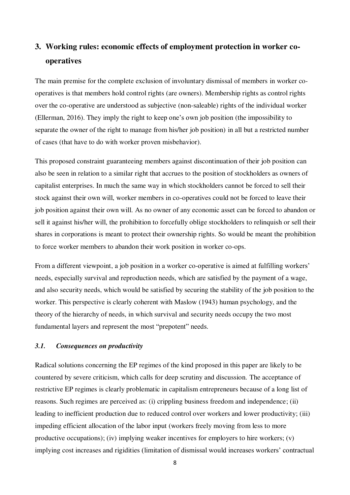### **3. Working rules: economic effects of employment protection in worker cooperatives**

The main premise for the complete exclusion of involuntary dismissal of members in worker cooperatives is that members hold control rights (are owners). Membership rights as control rights over the co-operative are understood as subjective (non-saleable) rights of the individual worker (Ellerman, 2016). They imply the right to keep one's own job position (the impossibility to separate the owner of the right to manage from his/her job position) in all but a restricted number of cases (that have to do with worker proven misbehavior).

This proposed constraint guaranteeing members against discontinuation of their job position can also be seen in relation to a similar right that accrues to the position of stockholders as owners of capitalist enterprises. In much the same way in which stockholders cannot be forced to sell their stock against their own will, worker members in co-operatives could not be forced to leave their job position against their own will. As no owner of any economic asset can be forced to abandon or sell it against his/her will, the prohibition to forcefully oblige stockholders to relinquish or sell their shares in corporations is meant to protect their ownership rights. So would be meant the prohibition to force worker members to abandon their work position in worker co-ops.

From a different viewpoint, a job position in a worker co-operative is aimed at fulfilling workers' needs, especially survival and reproduction needs, which are satisfied by the payment of a wage, and also security needs, which would be satisfied by securing the stability of the job position to the worker. This perspective is clearly coherent with Maslow (1943) human psychology, and the theory of the hierarchy of needs, in which survival and security needs occupy the two most fundamental layers and represent the most "prepotent" needs.

#### *3.1. Consequences on productivity*

Radical solutions concerning the EP regimes of the kind proposed in this paper are likely to be countered by severe criticism, which calls for deep scrutiny and discussion. The acceptance of restrictive EP regimes is clearly problematic in capitalism entrepreneurs because of a long list of reasons. Such regimes are perceived as: (i) crippling business freedom and independence; (ii) leading to inefficient production due to reduced control over workers and lower productivity; (iii) impeding efficient allocation of the labor input (workers freely moving from less to more productive occupations); (iv) implying weaker incentives for employers to hire workers; (v) implying cost increases and rigidities (limitation of dismissal would increases workers' contractual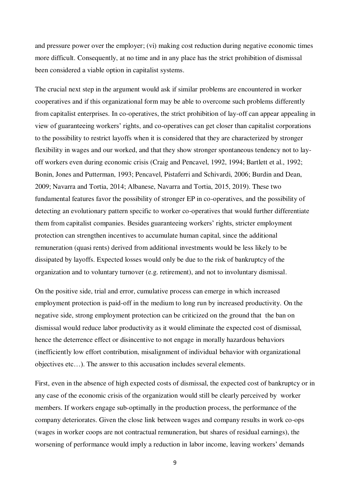and pressure power over the employer; (vi) making cost reduction during negative economic times more difficult. Consequently, at no time and in any place has the strict prohibition of dismissal been considered a viable option in capitalist systems.

The crucial next step in the argument would ask if similar problems are encountered in worker cooperatives and if this organizational form may be able to overcome such problems differently from capitalist enterprises. In co-operatives, the strict prohibition of lay-off can appear appealing in view of guaranteeing workers' rights, and co-operatives can get closer than capitalist corporations to the possibility to restrict layoffs when it is considered that they are characterized by stronger flexibility in wages and our worked, and that they show stronger spontaneous tendency not to layoff workers even during economic crisis (Craig and Pencavel, 1992, 1994; Bartlett et al., 1992; Bonin, Jones and Putterman, 1993; Pencavel, Pistaferri and Schivardi, 2006; Burdin and Dean, 2009; Navarra and Tortia, 2014; Albanese, Navarra and Tortia, 2015, 2019). These two fundamental features favor the possibility of stronger EP in co-operatives, and the possibility of detecting an evolutionary pattern specific to worker co-operatives that would further differentiate them from capitalist companies. Besides guaranteeing workers' rights, stricter employment protection can strengthen incentives to accumulate human capital, since the additional remuneration (quasi rents) derived from additional investments would be less likely to be dissipated by layoffs. Expected losses would only be due to the risk of bankruptcy of the organization and to voluntary turnover (e.g. retirement), and not to involuntary dismissal.

On the positive side, trial and error, cumulative process can emerge in which increased employment protection is paid-off in the medium to long run by increased productivity. On the negative side, strong employment protection can be criticized on the ground that the ban on dismissal would reduce labor productivity as it would eliminate the expected cost of dismissal, hence the deterrence effect or disincentive to not engage in morally hazardous behaviors (inefficiently low effort contribution, misalignment of individual behavior with organizational objectives etc…). The answer to this accusation includes several elements.

First, even in the absence of high expected costs of dismissal, the expected cost of bankruptcy or in any case of the economic crisis of the organization would still be clearly perceived by worker members. If workers engage sub-optimally in the production process, the performance of the company deteriorates. Given the close link between wages and company results in work co-ops (wages in worker coops are not contractual remuneration, but shares of residual earnings), the worsening of performance would imply a reduction in labor income, leaving workers' demands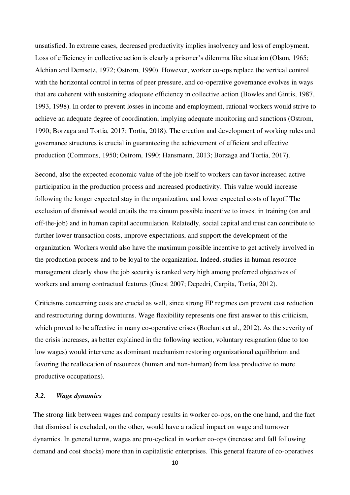unsatisfied. In extreme cases, decreased productivity implies insolvency and loss of employment. Loss of efficiency in collective action is clearly a prisoner's dilemma like situation (Olson, 1965; Alchian and Demsetz, 1972; Ostrom, 1990). However, worker co-ops replace the vertical control with the horizontal control in terms of peer pressure, and co-operative governance evolves in ways that are coherent with sustaining adequate efficiency in collective action (Bowles and Gintis, 1987, 1993, 1998). In order to prevent losses in income and employment, rational workers would strive to achieve an adequate degree of coordination, implying adequate monitoring and sanctions (Ostrom, 1990; Borzaga and Tortia, 2017; Tortia, 2018). The creation and development of working rules and governance structures is crucial in guaranteeing the achievement of efficient and effective production (Commons, 1950; Ostrom, 1990; Hansmann, 2013; Borzaga and Tortia, 2017).

Second, also the expected economic value of the job itself to workers can favor increased active participation in the production process and increased productivity. This value would increase following the longer expected stay in the organization, and lower expected costs of layoff The exclusion of dismissal would entails the maximum possible incentive to invest in training (on and off-the-job) and in human capital accumulation. Relatedly, social capital and trust can contribute to further lower transaction costs, improve expectations, and support the development of the organization. Workers would also have the maximum possible incentive to get actively involved in the production process and to be loyal to the organization. Indeed, studies in human resource management clearly show the job security is ranked very high among preferred objectives of workers and among contractual features (Guest 2007; Depedri, Carpita, Tortia, 2012).

Criticisms concerning costs are crucial as well, since strong EP regimes can prevent cost reduction and restructuring during downturns. Wage flexibility represents one first answer to this criticism, which proved to be affective in many co-operative crises (Roelants et al., 2012). As the severity of the crisis increases, as better explained in the following section, voluntary resignation (due to too low wages) would intervene as dominant mechanism restoring organizational equilibrium and favoring the reallocation of resources (human and non-human) from less productive to more productive occupations).

#### *3.2. Wage dynamics*

The strong link between wages and company results in worker co-ops, on the one hand, and the fact that dismissal is excluded, on the other, would have a radical impact on wage and turnover dynamics. In general terms, wages are pro-cyclical in worker co-ops (increase and fall following demand and cost shocks) more than in capitalistic enterprises. This general feature of co-operatives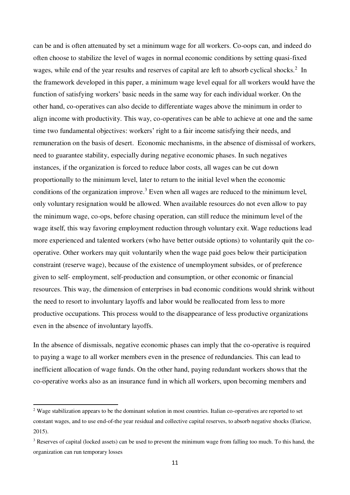can be and is often attenuated by set a minimum wage for all workers. Co-oops can, and indeed do often choose to stabilize the level of wages in normal economic conditions by setting quasi-fixed wages, while end of the year results and reserves of capital are left to absorb cyclical shocks.<sup>2</sup> In the framework developed in this paper, a minimum wage level equal for all workers would have the function of satisfying workers' basic needs in the same way for each individual worker. On the other hand, co-operatives can also decide to differentiate wages above the minimum in order to align income with productivity. This way, co-operatives can be able to achieve at one and the same time two fundamental objectives: workers' right to a fair income satisfying their needs, and remuneration on the basis of desert. Economic mechanisms, in the absence of dismissal of workers, need to guarantee stability, especially during negative economic phases. In such negatives instances, if the organization is forced to reduce labor costs, all wages can be cut down proportionally to the minimum level, later to return to the initial level when the economic conditions of the organization improve.<sup>3</sup> Even when all wages are reduced to the minimum level, only voluntary resignation would be allowed. When available resources do not even allow to pay the minimum wage, co-ops, before chasing operation, can still reduce the minimum level of the wage itself, this way favoring employment reduction through voluntary exit. Wage reductions lead more experienced and talented workers (who have better outside options) to voluntarily quit the cooperative. Other workers may quit voluntarily when the wage paid goes below their participation constraint (reserve wage), because of the existence of unemployment subsides, or of preference given to self- employment, self-production and consumption, or other economic or financial resources. This way, the dimension of enterprises in bad economic conditions would shrink without the need to resort to involuntary layoffs and labor would be reallocated from less to more productive occupations. This process would to the disappearance of less productive organizations even in the absence of involuntary layoffs.

In the absence of dismissals, negative economic phases can imply that the co-operative is required to paying a wage to all worker members even in the presence of redundancies. This can lead to inefficient allocation of wage funds. On the other hand, paying redundant workers shows that the co-operative works also as an insurance fund in which all workers, upon becoming members and

-

<sup>&</sup>lt;sup>2</sup> Wage stabilization appears to be the dominant solution in most countries. Italian co-operatives are reported to set constant wages, and to use end-of-the year residual and collective capital reserves, to absorb negative shocks (Euricse, 2015).

 $3$  Reserves of capital (locked assets) can be used to prevent the minimum wage from falling too much. To this hand, the organization can run temporary losses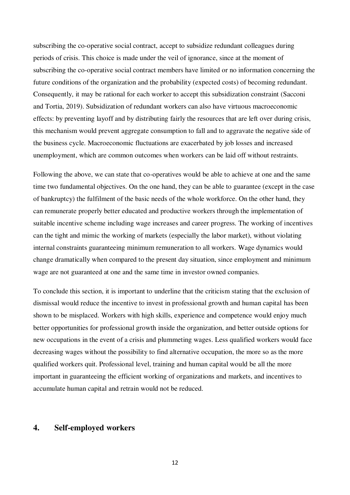subscribing the co-operative social contract, accept to subsidize redundant colleagues during periods of crisis. This choice is made under the veil of ignorance, since at the moment of subscribing the co-operative social contract members have limited or no information concerning the future conditions of the organization and the probability (expected costs) of becoming redundant. Consequently, it may be rational for each worker to accept this subsidization constraint (Sacconi and Tortia, 2019). Subsidization of redundant workers can also have virtuous macroeconomic effects: by preventing layoff and by distributing fairly the resources that are left over during crisis, this mechanism would prevent aggregate consumption to fall and to aggravate the negative side of the business cycle. Macroeconomic fluctuations are exacerbated by job losses and increased unemployment, which are common outcomes when workers can be laid off without restraints.

Following the above, we can state that co-operatives would be able to achieve at one and the same time two fundamental objectives. On the one hand, they can be able to guarantee (except in the case of bankruptcy) the fulfilment of the basic needs of the whole workforce. On the other hand, they can remunerate properly better educated and productive workers through the implementation of suitable incentive scheme including wage increases and career progress. The working of incentives can the tight and mimic the working of markets (especially the labor market), without violating internal constraints guaranteeing minimum remuneration to all workers. Wage dynamics would change dramatically when compared to the present day situation, since employment and minimum wage are not guaranteed at one and the same time in investor owned companies.

To conclude this section, it is important to underline that the criticism stating that the exclusion of dismissal would reduce the incentive to invest in professional growth and human capital has been shown to be misplaced. Workers with high skills, experience and competence would enjoy much better opportunities for professional growth inside the organization, and better outside options for new occupations in the event of a crisis and plummeting wages. Less qualified workers would face decreasing wages without the possibility to find alternative occupation, the more so as the more qualified workers quit. Professional level, training and human capital would be all the more important in guaranteeing the efficient working of organizations and markets, and incentives to accumulate human capital and retrain would not be reduced.

#### **4. Self-employed workers**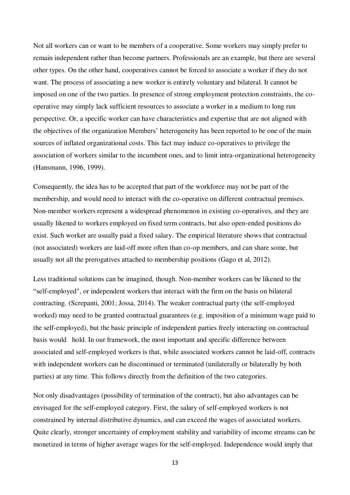Not all workers can or want to be members of a cooperative. Some workers may simply prefer to remain independent rather than become partners. Professionals are an example, but there are several other types. On the other hand, cooperatives cannot be forced to associate a worker if they do not want. The process of associating a new worker is entirely voluntary and bilateral. It cannot be imposed on one of the two parties. In presence of strong employment protection constraints, the cooperative may simply lack sufficient resources to associate a worker in a medium to long run perspective. Or, a specific worker can have characteristics and expertise that are not aligned with the objectives of the organization Members' heterogeneity has been reported to be one of the main sources of inflated organizational costs. This fact may induce co-operatives to privilege the association of workers similar to the incumbent ones, and to limit intra-organizational heterogeneity (Hansmann, 1996, 1999).

Consequently, the idea has to be accepted that part of the workforce may not be part of the membership, and would need to interact with the co-operative on different contractual premises. Non-member workers represent a widespread phenomenon in existing co-operatives, and they are usually likened to workers employed on fixed term contracts, but also open-ended positions do exist. Such worker are usually paid a fixed salary. The empirical literature shows that contractual (not associated) workers are laid-off more often than co-op members, and can share some, but usually not all the prerogatives attached to membership positions (Gago et al, 2012).

Less traditional solutions can be imagined, though. Non-member workers can be likened to the "self-employed", or independent workers that interact with the firm on the basis on bilateral contracting. (Screpanti, 2001; Jossa, 2014). The weaker contractual party (the self-employed worked) may need to be granted contractual guarantees (e.g. imposition of a minimum wage paid to the self-employed), but the basic principle of independent parties freely interacting on contractual basis would hold. In our framework, the most important and specific difference between associated and self-employed workers is that, while associated workers cannot be laid-off, contracts with independent workers can be discontinued or terminated (unilaterally or bilaterally by both parties) at any time. This follows directly from the definition of the two categories.

Not only disadvantages (possibility of termination of the contract), but also advantages can be envisaged for the self-employed category. First, the salary of self-employed workers is not constrained by internal distributive dynamics, and can exceed the wages of associated workers. Quite clearly, stronger uncertainty of employment stability and variability of income streams can be monetized in terms of higher average wages for the self-employed. Independence would imply that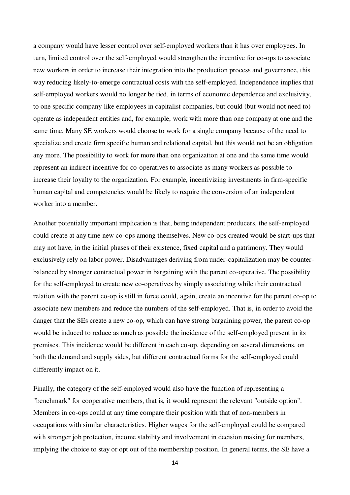a company would have lesser control over self-employed workers than it has over employees. In turn, limited control over the self-employed would strengthen the incentive for co-ops to associate new workers in order to increase their integration into the production process and governance, this way reducing likely-to-emerge contractual costs with the self-employed. Independence implies that self-employed workers would no longer be tied, in terms of economic dependence and exclusivity, to one specific company like employees in capitalist companies, but could (but would not need to) operate as independent entities and, for example, work with more than one company at one and the same time. Many SE workers would choose to work for a single company because of the need to specialize and create firm specific human and relational capital, but this would not be an obligation any more. The possibility to work for more than one organization at one and the same time would represent an indirect incentive for co-operatives to associate as many workers as possible to increase their loyalty to the organization. For example, incentivizing investments in firm-specific human capital and competencies would be likely to require the conversion of an independent worker into a member.

Another potentially important implication is that, being independent producers, the self-employed could create at any time new co-ops among themselves. New co-ops created would be start-ups that may not have, in the initial phases of their existence, fixed capital and a patrimony. They would exclusively rely on labor power. Disadvantages deriving from under-capitalization may be counterbalanced by stronger contractual power in bargaining with the parent co-operative. The possibility for the self-employed to create new co-operatives by simply associating while their contractual relation with the parent co-op is still in force could, again, create an incentive for the parent co-op to associate new members and reduce the numbers of the self-employed. That is, in order to avoid the danger that the SEs create a new co-op, which can have strong bargaining power, the parent co-op would be induced to reduce as much as possible the incidence of the self-employed present in its premises. This incidence would be different in each co-op, depending on several dimensions, on both the demand and supply sides, but different contractual forms for the self-employed could differently impact on it.

Finally, the category of the self-employed would also have the function of representing a "benchmark" for cooperative members, that is, it would represent the relevant "outside option". Members in co-ops could at any time compare their position with that of non-members in occupations with similar characteristics. Higher wages for the self-employed could be compared with stronger job protection, income stability and involvement in decision making for members, implying the choice to stay or opt out of the membership position. In general terms, the SE have a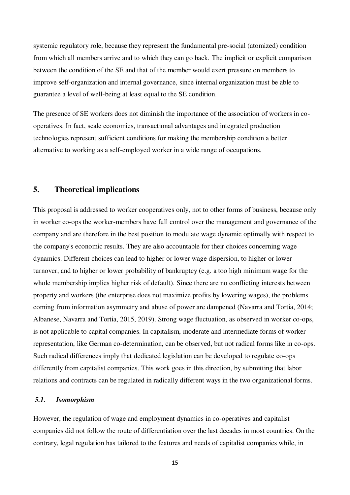systemic regulatory role, because they represent the fundamental pre-social (atomized) condition from which all members arrive and to which they can go back. The implicit or explicit comparison between the condition of the SE and that of the member would exert pressure on members to improve self-organization and internal governance, since internal organization must be able to guarantee a level of well-being at least equal to the SE condition.

The presence of SE workers does not diminish the importance of the association of workers in cooperatives. In fact, scale economies, transactional advantages and integrated production technologies represent sufficient conditions for making the membership condition a better alternative to working as a self-employed worker in a wide range of occupations.

#### **5. Theoretical implications**

This proposal is addressed to worker cooperatives only, not to other forms of business, because only in worker co-ops the worker-members have full control over the management and governance of the company and are therefore in the best position to modulate wage dynamic optimally with respect to the company's economic results. They are also accountable for their choices concerning wage dynamics. Different choices can lead to higher or lower wage dispersion, to higher or lower turnover, and to higher or lower probability of bankruptcy (e.g. a too high minimum wage for the whole membership implies higher risk of default). Since there are no conflicting interests between property and workers (the enterprise does not maximize profits by lowering wages), the problems coming from information asymmetry and abuse of power are dampened (Navarra and Tortia, 2014; Albanese, Navarra and Tortia, 2015, 2019). Strong wage fluctuation, as observed in worker co-ops, is not applicable to capital companies. In capitalism, moderate and intermediate forms of worker representation, like German co-determination, can be observed, but not radical forms like in co-ops. Such radical differences imply that dedicated legislation can be developed to regulate co-ops differently from capitalist companies. This work goes in this direction, by submitting that labor relations and contracts can be regulated in radically different ways in the two organizational forms.

#### *5.1. Isomorphism*

However, the regulation of wage and employment dynamics in co-operatives and capitalist companies did not follow the route of differentiation over the last decades in most countries. On the contrary, legal regulation has tailored to the features and needs of capitalist companies while, in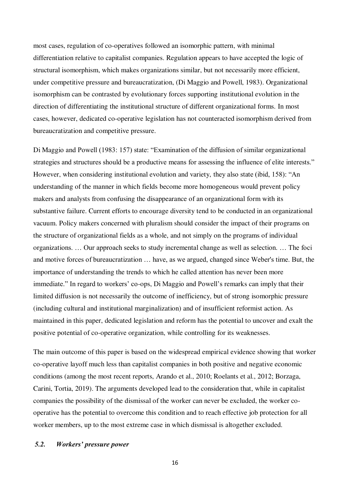most cases, regulation of co-operatives followed an isomorphic pattern, with minimal differentiation relative to capitalist companies. Regulation appears to have accepted the logic of structural isomorphism, which makes organizations similar, but not necessarily more efficient, under competitive pressure and bureaucratization, (Di Maggio and Powell, 1983). Organizational isomorphism can be contrasted by evolutionary forces supporting institutional evolution in the direction of differentiating the institutional structure of different organizational forms. In most cases, however, dedicated co-operative legislation has not counteracted isomorphism derived from bureaucratization and competitive pressure.

Di Maggio and Powell (1983: 157) state: "Examination of the diffusion of similar organizational strategies and structures should be a productive means for assessing the influence of elite interests." However, when considering institutional evolution and variety, they also state (ibid, 158): "An understanding of the manner in which fields become more homogeneous would prevent policy makers and analysts from confusing the disappearance of an organizational form with its substantive failure. Current efforts to encourage diversity tend to be conducted in an organizational vacuum. Policy makers concerned with pluralism should consider the impact of their programs on the structure of organizational fields as a whole, and not simply on the programs of individual organizations. … Our approach seeks to study incremental change as well as selection. … The foci and motive forces of bureaucratization … have, as we argued, changed since Weber's time. But, the importance of understanding the trends to which he called attention has never been more immediate." In regard to workers' co-ops, Di Maggio and Powell's remarks can imply that their limited diffusion is not necessarily the outcome of inefficiency, but of strong isomorphic pressure (including cultural and institutional marginalization) and of insufficient reformist action. As maintained in this paper, dedicated legislation and reform has the potential to uncover and exalt the positive potential of co-operative organization, while controlling for its weaknesses.

The main outcome of this paper is based on the widespread empirical evidence showing that worker co-operative layoff much less than capitalist companies in both positive and negative economic conditions (among the most recent reports, Arando et al., 2010; Roelants et al., 2012; Borzaga, Carini, Tortia, 2019). The arguments developed lead to the consideration that, while in capitalist companies the possibility of the dismissal of the worker can never be excluded, the worker cooperative has the potential to overcome this condition and to reach effective job protection for all worker members, up to the most extreme case in which dismissal is altogether excluded.

#### *5.2. Workers' pressure power*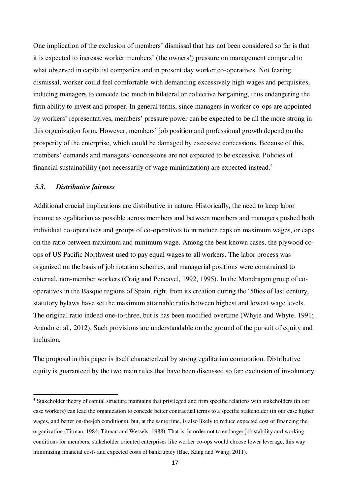One implication of the exclusion of members' dismissal that has not been considered so far is that it is expected to increase worker members' (the owners') pressure on management compared to what observed in capitalist companies and in present day worker co-operatives. Not fearing dismissal, worker could feel comfortable with demanding excessively high wages and perquisites, inducing managers to concede too much in bilateral or collective bargaining, thus endangering the firm ability to invest and prosper. In general terms, since managers in worker co-ops are appointed by workers' representatives, members' pressure power can be expected to be all the more strong in this organization form. However, members' job position and professional growth depend on the prosperity of the enterprise, which could be damaged by excessive concessions. Because of this, members' demands and managers' concessions are not expected to be excessive. Policies of financial sustainability (not necessarily of wage minimization) are expected instead.<sup>4</sup>

#### *5.3. Distributive fairness*

-

Additional crucial implications are distributive in nature. Historically, the need to keep labor income as egalitarian as possible across members and between members and managers pushed both individual co-operatives and groups of co-operatives to introduce caps on maximum wages, or caps on the ratio between maximum and minimum wage. Among the best known cases, the plywood coops of US Pacific Northwest used to pay equal wages to all workers. The labor process was organized on the basis of job rotation schemes, and managerial positions were constrained to external, non-member workers (Craig and Pencavel, 1992, 1995). In the Mondragon group of cooperatives in the Basque regions of Spain, right from its creation during the '50ies of last century, statutory bylaws have set the maximum attainable ratio between highest and lowest wage levels. The original ratio indeed one-to-three, but is has been modified overtime (Whyte and Whyte, 1991; Arando et al., 2012). Such provisions are understandable on the ground of the pursuit of equity and inclusion.

The proposal in this paper is itself characterized by strong egalitarian connotation. Distributive equity is guaranteed by the two main rules that have been discussed so far: exclusion of involuntary

<sup>&</sup>lt;sup>4</sup> Stakeholder theory of capital structure maintains that privileged and firm specific relations with stakeholders (in our case workers) can lead the organization to concede better contractual terms to a specific stakeholder (in our case higher wages, and better on-the-job conditions), but, at the same time, is also likely to reduce expected cost of financing the organization (Titman, 1984; Titman and Wessels, 1988). That is, in order not to endanger job stability and working conditions for members, stakeholder oriented enterprises like worker co-ops would choose lower leverage, this way minimizing financial costs and expected costs of bankruptcy (Bae, Kang and Wang; 2011).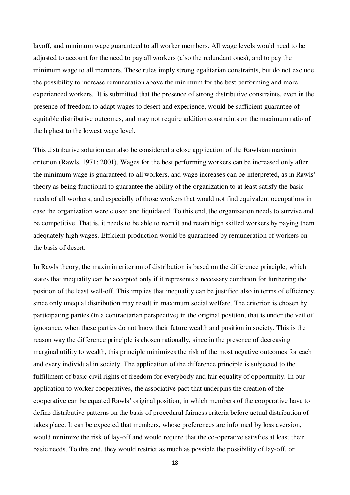layoff, and minimum wage guaranteed to all worker members. All wage levels would need to be adjusted to account for the need to pay all workers (also the redundant ones), and to pay the minimum wage to all members. These rules imply strong egalitarian constraints, but do not exclude the possibility to increase remuneration above the minimum for the best performing and more experienced workers. It is submitted that the presence of strong distributive constraints, even in the presence of freedom to adapt wages to desert and experience, would be sufficient guarantee of equitable distributive outcomes, and may not require addition constraints on the maximum ratio of the highest to the lowest wage level.

This distributive solution can also be considered a close application of the Rawlsian maximin criterion (Rawls, 1971; 2001). Wages for the best performing workers can be increased only after the minimum wage is guaranteed to all workers, and wage increases can be interpreted, as in Rawls' theory as being functional to guarantee the ability of the organization to at least satisfy the basic needs of all workers, and especially of those workers that would not find equivalent occupations in case the organization were closed and liquidated. To this end, the organization needs to survive and be competitive. That is, it needs to be able to recruit and retain high skilled workers by paying them adequately high wages. Efficient production would be guaranteed by remuneration of workers on the basis of desert.

In Rawls theory, the maximin criterion of distribution is based on the difference principle, which states that inequality can be accepted only if it represents a necessary condition for furthering the position of the least well-off. This implies that inequality can be justified also in terms of efficiency, since only unequal distribution may result in maximum social welfare. The criterion is chosen by participating parties (in a contractarian perspective) in the original position, that is under the veil of ignorance, when these parties do not know their future wealth and position in society. This is the reason way the difference principle is chosen rationally, since in the presence of decreasing marginal utility to wealth, this principle minimizes the risk of the most negative outcomes for each and every individual in society. The application of the difference principle is subjected to the fulfillment of basic civil rights of freedom for everybody and fair equality of opportunity. In our application to worker cooperatives, the associative pact that underpins the creation of the cooperative can be equated Rawls' original position, in which members of the cooperative have to define distributive patterns on the basis of procedural fairness criteria before actual distribution of takes place. It can be expected that members, whose preferences are informed by loss aversion, would minimize the risk of lay-off and would require that the co-operative satisfies at least their basic needs. To this end, they would restrict as much as possible the possibility of lay-off, or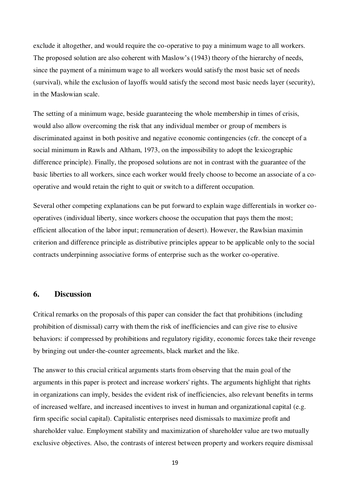exclude it altogether, and would require the co-operative to pay a minimum wage to all workers. The proposed solution are also coherent with Maslow's (1943) theory of the hierarchy of needs, since the payment of a minimum wage to all workers would satisfy the most basic set of needs (survival), while the exclusion of layoffs would satisfy the second most basic needs layer (security), in the Maslowian scale.

The setting of a minimum wage, beside guaranteeing the whole membership in times of crisis, would also allow overcoming the risk that any individual member or group of members is discriminated against in both positive and negative economic contingencies (cfr. the concept of a social minimum in Rawls and Altham, 1973, on the impossibility to adopt the lexicographic difference principle). Finally, the proposed solutions are not in contrast with the guarantee of the basic liberties to all workers, since each worker would freely choose to become an associate of a cooperative and would retain the right to quit or switch to a different occupation.

Several other competing explanations can be put forward to explain wage differentials in worker cooperatives (individual liberty, since workers choose the occupation that pays them the most; efficient allocation of the labor input; remuneration of desert). However, the Rawlsian maximin criterion and difference principle as distributive principles appear to be applicable only to the social contracts underpinning associative forms of enterprise such as the worker co-operative.

#### **6. Discussion**

Critical remarks on the proposals of this paper can consider the fact that prohibitions (including prohibition of dismissal) carry with them the risk of inefficiencies and can give rise to elusive behaviors: if compressed by prohibitions and regulatory rigidity, economic forces take their revenge by bringing out under-the-counter agreements, black market and the like.

The answer to this crucial critical arguments starts from observing that the main goal of the arguments in this paper is protect and increase workers' rights. The arguments highlight that rights in organizations can imply, besides the evident risk of inefficiencies, also relevant benefits in terms of increased welfare, and increased incentives to invest in human and organizational capital (e.g. firm specific social capital). Capitalistic enterprises need dismissals to maximize profit and shareholder value. Employment stability and maximization of shareholder value are two mutually exclusive objectives. Also, the contrasts of interest between property and workers require dismissal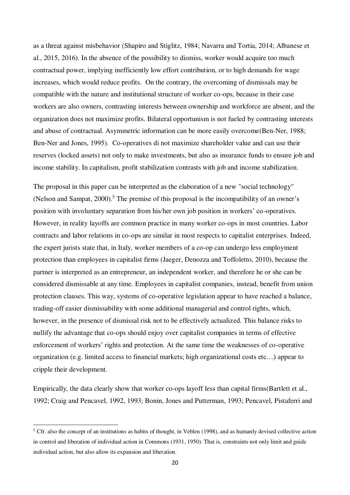as a threat against misbehavior (Shapiro and Stiglitz, 1984; Navarra and Tortia, 2014; Albanese et al., 2015, 2016). In the absence of the possibility to dismiss, worker would acquire too much contractual power, implying inefficiently low effort contribution, or to high demands for wage increases, which would reduce profits. On the contrary, the overcoming of dismissals may be compatible with the nature and institutional structure of worker co-ops, because in their case workers are also owners, contrasting interests between ownership and workforce are absent, and the organization does not maximize profits. Bilateral opportunism is not fueled by contrasting interests and abuse of contractual. Asymmetric information can be more easily overcome(Ben-Ner, 1988; Ben-Ner and Jones, 1995). Co-operatives di not maximize shareholder value and can use their reserves (locked assets) not only to make investments, but also as insurance funds to ensure job and income stability. In capitalism, profit stabilization contrasts with job and income stabilization.

The proposal in this paper can be interpreted as the elaboration of a new "social technology" (Nelson and Sampat,  $2000$ ).<sup>5</sup> The premise of this proposal is the incompatibility of an owner's position with involuntary separation from his/her own job position in workers' co-operatives. However, in reality layoffs are common practice in many worker co-ops in most countries. Labor contracts and labor relations in co-ops are similar in most respects to capitalist enterprises. Indeed, the expert jurists state that, in Italy, worker members of a co-op can undergo less employment protection than employees in capitalist firms (Jaeger, Denozza and Toffoletto, 2010), because the partner is interpreted as an entrepreneur, an independent worker, and therefore he or she can be considered dismissable at any time. Employees in capitalist companies, instead, benefit from union protection clauses. This way, systems of co-operative legislation appear to have reached a balance, trading-off easier dismissability with some additional managerial and control rights, which, however, in the presence of dismissal risk not to be effectively actualized. This balance risks to nullify the advantage that co-ops should enjoy over capitalist companies in terms of effective enforcement of workers' rights and protection. At the same time the weaknesses of co-operative organization (e.g. limited access to financial markets; high organizational costs etc…) appear to cripple their development.

Empirically, the data clearly show that worker co-ops layoff less than capital firms(Bartlett et al., 1992; Craig and Pencavel, 1992, 1993; Bonin, Jones and Putterman, 1993; Pencavel, Pistaferri and

<u>.</u>

 $<sup>5</sup>$  Cfr. also the concept of an institutions as habits of thought, in Veblen (1998), and as humanly devised collective action</sup> in control and liberation of individual action in Commons (1931, 1950). That is, constraints not only limit and guide individual action, but also allow its expansion and liberation.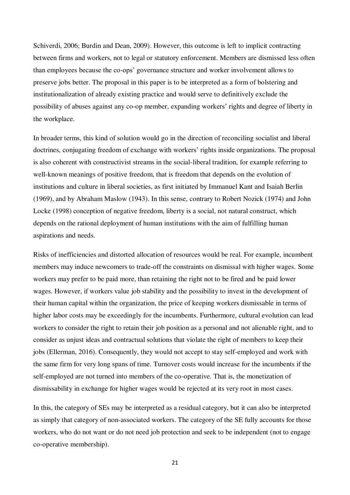Schiverdi, 2006; Burdin and Dean, 2009). However, this outcome is left to implicit contracting between firms and workers, not to legal or statutory enforcement. Members are dismissed less often than employees because the co-ops' governance structure and worker involvement allows to preserve jobs better. The proposal in this paper is to be interpreted as a form of bolstering and institutionalization of already existing practice and would serve to definitively exclude the possibility of abuses against any co-op member, expanding workers' rights and degree of liberty in the workplace.

In broader terms, this kind of solution would go in the direction of reconciling socialist and liberal doctrines, conjugating freedom of exchange with workers' rights inside organizations. The proposal is also coherent with constructivist streams in the social-liberal tradition, for example referring to well-known meanings of positive freedom, that is freedom that depends on the evolution of institutions and culture in liberal societies, as first initiated by Immanuel Kant and Isaiah Berlin (1969), and by Abraham Maslow (1943). In this sense, contrary to Robert Nozick (1974) and John Locke (1998) conception of negative freedom, liberty is a social, not natural construct, which depends on the rational deployment of human institutions with the aim of fulfilling human aspirations and needs.

Risks of inefficiencies and distorted allocation of resources would be real. For example, incumbent members may induce newcomers to trade-off the constraints on dismissal with higher wages. Some workers may prefer to be paid more, than retaining the right not to be fired and be paid lower wages. However, if workers value job stability and the possibility to invest in the development of their human capital within the organization, the price of keeping workers dismissable in terms of higher labor costs may be exceedingly for the incumbents. Furthermore, cultural evolution can lead workers to consider the right to retain their job position as a personal and not alienable right, and to consider as unjust ideas and contractual solutions that violate the right of members to keep their jobs (Ellerman, 2016). Consequently, they would not accept to stay self-employed and work with the same firm for very long spans of time. Turnover costs would increase for the incumbents if the self-employed are not turned into members of the co-operative. That is, the monetization of dismissability in exchange for higher wages would be rejected at its very root in most cases.

In this, the category of SEs may be interpreted as a residual category, but it can also be interpreted as simply that category of non-associated workers. The category of the SE fully accounts for those workers, who do not want or do not need job protection and seek to be independent (not to engage co-operative membership).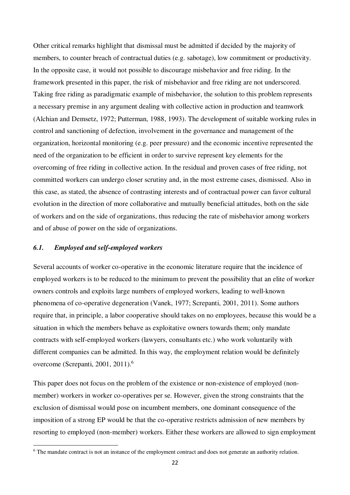Other critical remarks highlight that dismissal must be admitted if decided by the majority of members, to counter breach of contractual duties (e.g. sabotage), low commitment or productivity. In the opposite case, it would not possible to discourage misbehavior and free riding. In the framework presented in this paper, the risk of misbehavior and free riding are not underscored. Taking free riding as paradigmatic example of misbehavior, the solution to this problem represents a necessary premise in any argument dealing with collective action in production and teamwork (Alchian and Demsetz, 1972; Putterman, 1988, 1993). The development of suitable working rules in control and sanctioning of defection, involvement in the governance and management of the organization, horizontal monitoring (e.g. peer pressure) and the economic incentive represented the need of the organization to be efficient in order to survive represent key elements for the overcoming of free riding in collective action. In the residual and proven cases of free riding, not committed workers can undergo closer scrutiny and, in the most extreme cases, dismissed. Also in this case, as stated, the absence of contrasting interests and of contractual power can favor cultural evolution in the direction of more collaborative and mutually beneficial attitudes, both on the side of workers and on the side of organizations, thus reducing the rate of misbehavior among workers and of abuse of power on the side of organizations.

#### *6.1. Employed and self-employed workers*

<u>.</u>

Several accounts of worker co-operative in the economic literature require that the incidence of employed workers is to be reduced to the minimum to prevent the possibility that an elite of worker owners controls and exploits large numbers of employed workers, leading to well-known phenomena of co-operative degeneration (Vanek, 1977; Screpanti, 2001, 2011). Some authors require that, in principle, a labor cooperative should takes on no employees, because this would be a situation in which the members behave as exploitative owners towards them; only mandate contracts with self-employed workers (lawyers, consultants etc.) who work voluntarily with different companies can be admitted. In this way, the employment relation would be definitely overcome (Screpanti, 2001, 2011).<sup>6</sup>

This paper does not focus on the problem of the existence or non-existence of employed (nonmember) workers in worker co-operatives per se. However, given the strong constraints that the exclusion of dismissal would pose on incumbent members, one dominant consequence of the imposition of a strong EP would be that the co-operative restricts admission of new members by resorting to employed (non-member) workers. Either these workers are allowed to sign employment

<sup>&</sup>lt;sup>6</sup> The mandate contract is not an instance of the employment contract and does not generate an authority relation.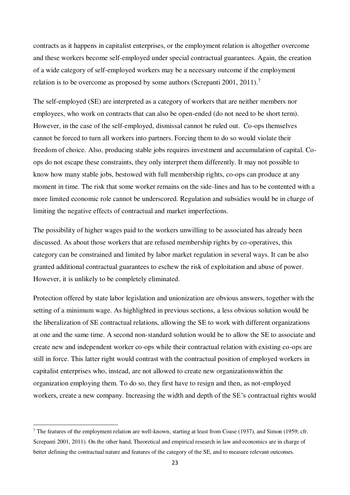contracts as it happens in capitalist enterprises, or the employment relation is altogether overcome and these workers become self-employed under special contractual guarantees. Again, the creation of a wide category of self-employed workers may be a necessary outcome if the employment relation is to be overcome as proposed by some authors (Screpanti 2001, 2011).<sup>7</sup>

The self-employed (SE) are interpreted as a category of workers that are neither members nor employees, who work on contracts that can also be open-ended (do not need to be short term). However, in the case of the self-employed, dismissal cannot be ruled out. Co-ops themselves cannot be forced to turn all workers into partners. Forcing them to do so would violate their freedom of choice. Also, producing stable jobs requires investment and accumulation of capital. Coops do not escape these constraints, they only interpret them differently. It may not possible to know how many stable jobs, bestowed with full membership rights, co-ops can produce at any moment in time. The risk that some worker remains on the side-lines and has to be contented with a more limited economic role cannot be underscored. Regulation and subsidies would be in charge of limiting the negative effects of contractual and market imperfections.

The possibility of higher wages paid to the workers unwilling to be associated has already been discussed. As about those workers that are refused membership rights by co-operatives, this category can be constrained and limited by labor market regulation in several ways. It can be also granted additional contractual guarantees to eschew the risk of exploitation and abuse of power. However, it is unlikely to be completely eliminated.

Protection offered by state labor legislation and unionization are obvious answers, together with the setting of a minimum wage. As highlighted in previous sections, a less obvious solution would be the liberalization of SE contractual relations, allowing the SE to work with different organizations at one and the same time. A second non-standard solution would be to allow the SE to associate and create new and independent worker co-ops while their contractual relation with existing co-ops are still in force. This latter right would contrast with the contractual position of employed workers in capitalist enterprises who, instead, are not allowed to create new organizationswithin the organization employing them. To do so, they first have to resign and then, as not-employed workers, create a new company. Increasing the width and depth of the SE's contractual rights would

<u>.</u>

<sup>&</sup>lt;sup>7</sup> The features of the employment relation are well-known, starting at least from Coase (1937), and Simon (1959; cfr. Screpanti 2001, 2011). On the other hand, Theoretical and empirical research in law and economics are in charge of better defining the contractual nature and features of the category of the SE, and to measure relevant outcomes.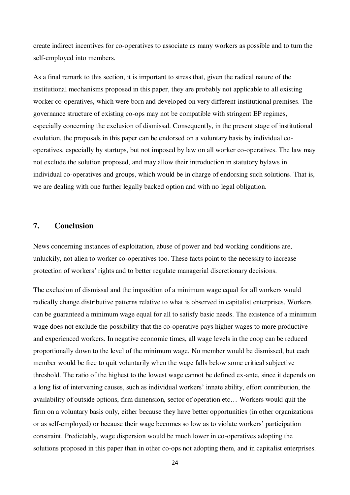create indirect incentives for co-operatives to associate as many workers as possible and to turn the self-employed into members.

As a final remark to this section, it is important to stress that, given the radical nature of the institutional mechanisms proposed in this paper, they are probably not applicable to all existing worker co-operatives, which were born and developed on very different institutional premises. The governance structure of existing co-ops may not be compatible with stringent EP regimes, especially concerning the exclusion of dismissal. Consequently, in the present stage of institutional evolution, the proposals in this paper can be endorsed on a voluntary basis by individual cooperatives, especially by startups, but not imposed by law on all worker co-operatives. The law may not exclude the solution proposed, and may allow their introduction in statutory bylaws in individual co-operatives and groups, which would be in charge of endorsing such solutions. That is, we are dealing with one further legally backed option and with no legal obligation.

#### **7. Conclusion**

News concerning instances of exploitation, abuse of power and bad working conditions are, unluckily, not alien to worker co-operatives too. These facts point to the necessity to increase protection of workers' rights and to better regulate managerial discretionary decisions.

The exclusion of dismissal and the imposition of a minimum wage equal for all workers would radically change distributive patterns relative to what is observed in capitalist enterprises. Workers can be guaranteed a minimum wage equal for all to satisfy basic needs. The existence of a minimum wage does not exclude the possibility that the co-operative pays higher wages to more productive and experienced workers. In negative economic times, all wage levels in the coop can be reduced proportionally down to the level of the minimum wage. No member would be dismissed, but each member would be free to quit voluntarily when the wage falls below some critical subjective threshold. The ratio of the highest to the lowest wage cannot be defined ex-ante, since it depends on a long list of intervening causes, such as individual workers' innate ability, effort contribution, the availability of outside options, firm dimension, sector of operation etc… Workers would quit the firm on a voluntary basis only, either because they have better opportunities (in other organizations or as self-employed) or because their wage becomes so low as to violate workers' participation constraint. Predictably, wage dispersion would be much lower in co-operatives adopting the solutions proposed in this paper than in other co-ops not adopting them, and in capitalist enterprises.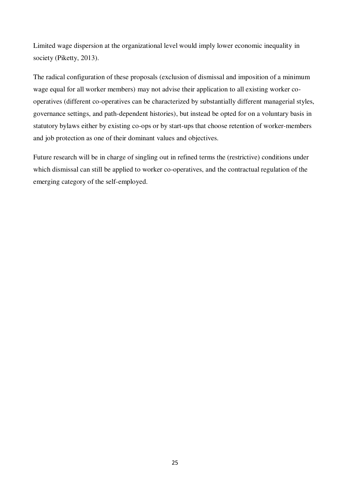Limited wage dispersion at the organizational level would imply lower economic inequality in society (Piketty, 2013).

The radical configuration of these proposals (exclusion of dismissal and imposition of a minimum wage equal for all worker members) may not advise their application to all existing worker cooperatives (different co-operatives can be characterized by substantially different managerial styles, governance settings, and path-dependent histories), but instead be opted for on a voluntary basis in statutory bylaws either by existing co-ops or by start-ups that choose retention of worker-members and job protection as one of their dominant values and objectives.

Future research will be in charge of singling out in refined terms the (restrictive) conditions under which dismissal can still be applied to worker co-operatives, and the contractual regulation of the emerging category of the self-employed.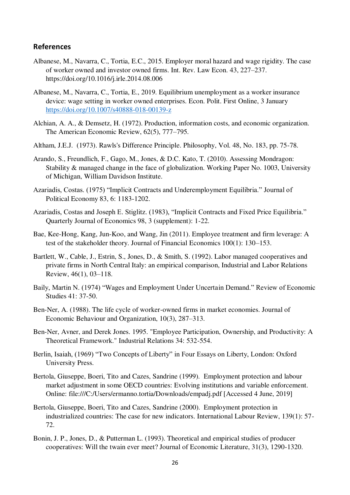#### **References**

- Albanese, M., Navarra, C., Tortia, E.C., 2015. Employer moral hazard and wage rigidity. The case of worker owned and investor owned firms. Int. Rev. Law Econ. 43, 227–237. https://doi.org/10.1016/j.irle.2014.08.006
- Albanese, M., Navarra, C., Tortia, E., 2019. Equilibrium unemployment as a worker insurance device: wage setting in worker owned enterprises. Econ. Polit. First Online, 3 January <https://doi.org/10.1007/s40888-018-00139-z>
- Alchian, A. A., & Demsetz, H. (1972). Production, information costs, and economic organization. The American Economic Review, 62(5), 777–795.
- Altham, J.E.J. (1973). Rawls's Difference Principle. Philosophy, Vol. 48, No. 183, pp. 75-78.
- Arando, S., Freundlich, F., Gago, M., Jones, & D.C. Kato, T. (2010). Assessing Mondragon: Stability & managed change in the face of globalization. Working Paper No. 1003, University of Michigan, William Davidson Institute.
- Azariadis, Costas. (1975) "Implicit Contracts and Underemployment Equilibria." Journal of Political Economy 83, 6: 1183-1202.
- Azariadis, Costas and Joseph E. Stiglitz. (1983), "Implicit Contracts and Fixed Price Equilibria." Quarterly Journal of Economics 98, 3 (supplement): 1-22.
- Bae, Kee-Hong, Kang, Jun-Koo, and Wang, Jin (2011). Employee treatment and firm leverage: A test of the stakeholder theory. Journal of Financial Economics 100(1): 130–153.
- Bartlett, W., Cable, J., Estrin, S., Jones, D., & Smith, S. (1992). Labor managed cooperatives and private firms in North Central Italy: an empirical comparison, Industrial and Labor Relations Review, 46(1), 03–118.
- Baily, Martin N. (1974) "Wages and Employment Under Uncertain Demand." Review of Economic Studies 41: 37-50.
- Ben-Ner, A. (1988). The life cycle of worker-owned firms in market economies. Journal of Economic Behaviour and Organization, 10(3), 287–313.
- Ben-Ner, Avner, and Derek Jones. 1995. "Employee Participation, Ownership, and Productivity: A Theoretical Framework." Industrial Relations 34: 532-554.
- Berlin, Isaiah, (1969) "Two Concepts of Liberty" in Four Essays on Liberty, London: Oxford University Press.
- Bertola, Giuseppe, Boeri, Tito and Cazes, Sandrine (1999). Employment protection and labour market adjustment in some OECD countries: Evolving institutions and variable enforcement. Online: file:///C:/Users/ermanno.tortia/Downloads/empadj.pdf [Accessed 4 June, 2019]
- Bertola, Giuseppe, Boeri, Tito and Cazes, Sandrine (2000). Employment protection in industrialized countries: The case for new indicators. International Labour Review, 139(1): 57- 72.
- Bonin, J. P., Jones, D., & Putterman L. (1993). Theoretical and empirical studies of producer cooperatives: Will the twain ever meet? Journal of Economic Literature, 31(3), 1290-1320.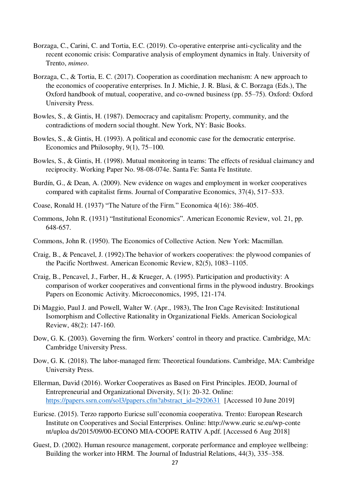- Borzaga, C., Carini, C. and Tortia, E.C. (2019). Co-operative enterprise anti-cyclicality and the recent economic crisis: Comparative analysis of employment dynamics in Italy. University of Trento, *mimeo*.
- Borzaga, C., & Tortia, E. C. (2017). Cooperation as coordination mechanism: A new approach to the economics of cooperative enterprises. In J. Michie, J. R. Blasi, & C. Borzaga (Eds.), The Oxford handbook of mutual, cooperative, and co-owned business (pp. 55–75). Oxford: Oxford University Press.
- Bowles, S., & Gintis, H. (1987). Democracy and capitalism: Property, community, and the contradictions of modern social thought. New York, NY: Basic Books.
- Bowles, S., & Gintis, H. (1993). A political and economic case for the democratic enterprise. Economics and Philosophy, 9(1), 75–100.
- Bowles, S., & Gintis, H. (1998). Mutual monitoring in teams: The effects of residual claimancy and reciprocity. Working Paper No. 98-08-074e. Santa Fe: Santa Fe Institute.
- Burdín, G., & Dean, A. (2009). New evidence on wages and employment in worker cooperatives compared with capitalist firms. Journal of Comparative Economics, 37(4), 517–533.
- Coase, Ronald H. (1937) "The Nature of the Firm." Economica 4(16): 386-405.
- Commons, John R. (1931) "Institutional Economics". American Economic Review, vol. 21, pp. 648-657.
- Commons, John R. (1950). The Economics of Collective Action. New York: Macmillan.
- Craig, B., & Pencavel, J. (1992).The behavior of workers cooperatives: the plywood companies of the Pacific Northwest. American Economic Review, 82(5), 1083–1105.
- Craig, B., Pencavel, J., Farber, H., & Krueger, A. (1995). Participation and productivity: A comparison of worker cooperatives and conventional firms in the plywood industry. Brookings Papers on Economic Activity. Microeconomics, 1995, 121-174.
- Di Maggio, Paul J. and Powell, Walter W. (Apr., 1983), The Iron Cage Revisited: Institutional Isomorphism and Collective Rationality in Organizational Fields. American Sociological Review, 48(2): 147-160.
- Dow, G. K. (2003). Governing the firm. Workers' control in theory and practice. Cambridge, MA: Cambridge University Press.
- Dow, G. K. (2018). The labor-managed firm: Theoretical foundations. Cambridge, MA: Cambridge University Press.
- Ellerman, David (2016). Worker Cooperatives as Based on First Principles. JEOD, Journal of Entrepreneurial and Organizational Diversity, 5(1): 20-32. Online: [https://papers.ssrn.com/sol3/papers.cfm?abstract\\_id=2920631](https://papers.ssrn.com/sol3/papers.cfm?abstract_id=2920631) [Accessed 10 June 2019]
- Euricse. (2015). Terzo rapporto Euricse sull'economia cooperativa. Trento: European Research Institute on Cooperatives and Social Enterprises. Online: http://www.euric se.eu/wp-conte nt/uploa ds/2015/09/00-ECONO MIA-COOPE RATIV A.pdf. [Accessed 6 Aug 2018]
- Guest, D. (2002). Human resource management, corporate performance and employee wellbeing: Building the worker into HRM. The Journal of Industrial Relations, 44(3), 335–358.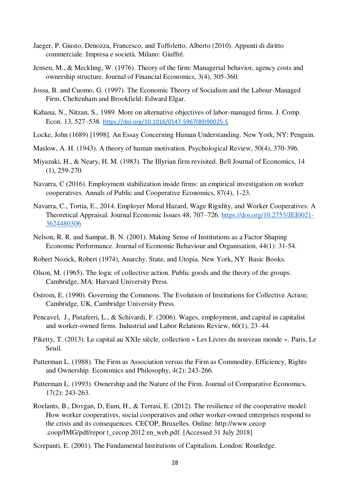- Jaeger, P. Giusto, Denozza, Francesco, and Toffoletto, Alberto (2010). Appunti di diritto commerciale. Impresa e società. Milano: Giuffré.
- Jensen, M., & Meckling, W. (1976). Theory of the firm: Managerial behavior, agency costs and ownership structure. Journal of Financial Economics, 3(4), 305-360.
- Jossa, B. and Cuomo, G. (1997). The Economic Theory of Socialism and the Labour-Managed Firm. Cheltenham and Brookfield: Edward Elgar.
- Kahana, N., Nitzan, S., 1989. More on alternative objectives of labor-managed firms. J. Comp. Econ. 13, 527–538. [https://doi.org/10.1016/0147-5967\(89\)90025-5](https://doi.org/10.1016/0147-5967(89)90025-5)
- Locke, John (1689) [1998]. An Essay Concerning Human Understanding. New York, NY: Penguin.
- Maslow, A. H. (1943). A theory of human motivation. Psychological Review, 50(4), 370-396.
- Miyazaki, H., & Neary, H. M. (1983). The Illyrian firm revisited. Bell Journal of Economics, 14 (1), 259-270.
- Navarra, C (2016). Employment stabilization inside firms: an empirical investigation on worker cooperatives. Annals of Public and Cooperative Economics, 87(4), 1-23.
- Navarra, C., Tortia, E., 2014. Employer Moral Hazard, Wage Rigidity, and Worker Cooperatives: A Theoretical Appraisal. Journal Economic Issues 48, 707–726. [https://doi.org/10.2753/JEI0021-](https://doi.org/10.2753/JEI0021-3624480306) [3624480306](https://doi.org/10.2753/JEI0021-3624480306)
- Nelson, R. R. and Sampat, B. N. (2001). Making Sense of Institutions as a Factor Shaping Economic Performance. Journal of Economic Behaviour and Organisation, 44(1): 31-54.
- Robert Nozick, Robert (1974), Anarchy, State, and Utopia. New York, NY: Basic Books.
- Olson, M. (1965). The logic of collective action. Public goods and the theory of the groups. Cambridge, MA: Harvard University Press.
- Ostrom, E. (1990). Governing the Commons. The Evolution of Institutions for Collective Action; Cambridge, UK. Cambridge University Press.
- Pencavel, J., Pistaferri, L., & Schivardi, F. (2006). Wages, employment, and capital in capitalist and worker-owned firms. Industrial and Labor Relations Review, 60(1), 23–44.
- Piketty, T. (2013). Le capital au XXIe siècle, collection « Les Livres du nouveau monde ». Paris, Le Seuil.
- Putterman L. (1988). The Firm as Association versus the Firm as Commodity. Efficiency, Rights and Ownership. Economics and Philosophy, 4(2): 243-266.
- Putterman L. (1993). Ownership and the Nature of the Firm. Journal of Comparative Economics, 17(2): 243-263.
- Roelants, B., Dovgan, D, Eum, H., & Terrasi, E. (2012). The resilience of the cooperative model: How worker cooperatives, social cooperatives and other worker-owned enterprises respond to the crisis and its consequences. CECOP, Bruxelles. Online: http://www.cecop .coop/IMG/pdf/repor t\_cecop 2012 en\_web.pdf. [Accessed 31 July 2018]
- Screpanti, E. (2001). The Fundamental Institutions of Capitalism. London: Routledge.